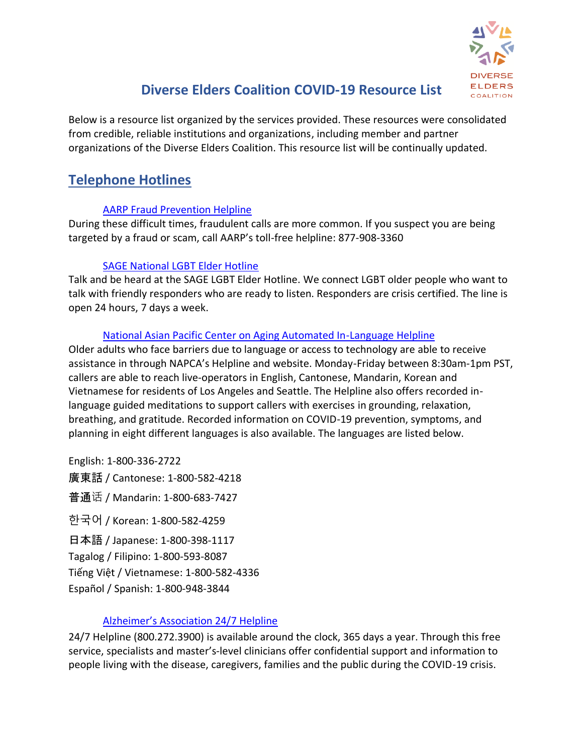

# **Diverse Elders Coalition COVID-19 Resource List**

Below is a resource list organized by the services provided. These resources were consolidated from credible, reliable institutions and organizations, including member and partner organizations of the Diverse Elders Coalition. This resource list will be continually updated.

# **Telephone Hotlines**

### [AARP Fraud Prevention Helpline](https://www.aarp.org/money/scams-fraud/info-2019/call-fwn-helpline.html)

During these difficult times, fraudulent calls are more common. If you suspect you are being targeted by a fraud or scam, call AARP's toll-free helpline: 877-908-3360

## [SAGE National LGBT Elder Hotline](https://www.sageusa.org/what-we-do/sage-national-lgbt-elder-hotline/)

Talk and be heard at the SAGE LGBT Elder Hotline. We connect LGBT older people who want to talk with friendly responders who are ready to listen. Responders are crisis certified. The line is open 24 hours, 7 days a week.

## [National Asian Pacific Center on Aging Automated In-Language Helpline](https://www.napca.org/)

Older adults who face barriers due to language or access to technology are able to receive assistance in through NAPCA's Helpline and website. Monday-Friday between 8:30am-1pm PST, callers are able to reach live-operators in English, Cantonese, Mandarin, Korean and Vietnamese for residents of Los Angeles and Seattle. The Helpline also offers recorded inlanguage guided meditations to support callers with exercises in grounding, relaxation, breathing, and gratitude. Recorded information on COVID-19 prevention, symptoms, and planning in eight different languages is also available. The languages are listed below.

English: 1-800-336-2722 廣東話 / Cantonese: 1-800-582-4218 普通话 / Mandarin: 1-800-683-7427 한국어 / Korean: 1-800-582-4259 日本語 / Japanese: 1-800-398-1117 Tagalog / Filipino: 1-800-593-8087 Tiếng Việt / Vietnamese: 1-800-582-4336 Español / Spanish: 1-800-948-3844

## [Alzheimer's Association 24/7 Helpline](https://www.alz.org/media/Documents/alzheimers-dementia-247-helpline-ts.pdf)

24/7 Helpline (800.272.3900) is available around the clock, 365 days a year. Through this free service, specialists and master's-level clinicians offer confidential support and information to people living with the disease, caregivers, families and the public during the COVID-19 crisis.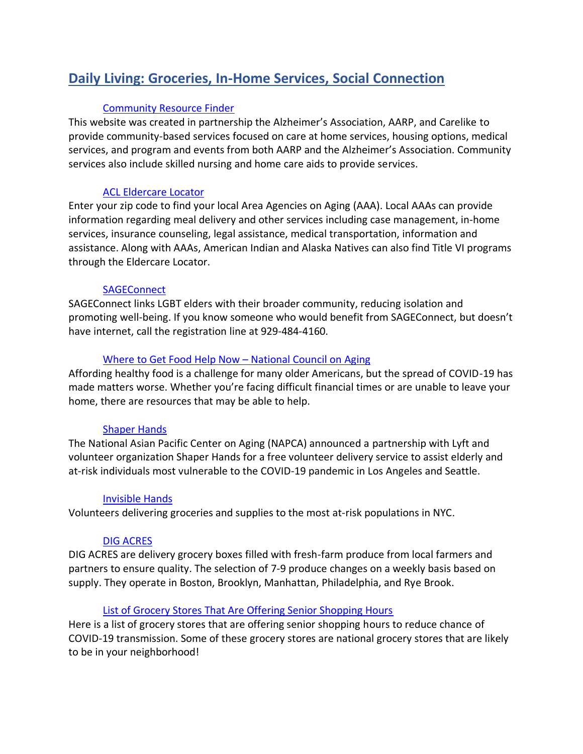# **Daily Living: Groceries, In-Home Services, Social Connection**

#### [Community Resource Finder](https://www.communityresourcefinder.org/)

This website was created in partnership the Alzheimer's Association, AARP, and Carelike to provide community-based services focused on care at home services, housing options, medical services, and program and events from both AARP and the Alzheimer's Association. Community services also include skilled nursing and home care aids to provide services.

#### [ACL Eldercare Locator](https://eldercare.acl.gov/Public/Index.aspx)

Enter your zip code to find your local Area Agencies on Aging (AAA). Local AAAs can provide information regarding meal delivery and other services including case management, in-home services, insurance counseling, legal assistance, medical transportation, information and assistance. Along with AAAs, American Indian and Alaska Natives can also find Title VI programs through the Eldercare Locator.

#### **[SAGEConnect](https://www.sageusa.org/sageconnect/)**

SAGEConnect links LGBT elders with their broader community, reducing isolation and promoting well-being. If you know someone who would benefit from SAGEConnect, but doesn't have internet, call the registration line at 929-484-4160.

#### [Where to Get Food Help Now](https://www.ncoa.org/blog/where-to-get-food-help-now/) – National Council on Aging

Affording healthy food is a challenge for many older Americans, but the spread of COVID-19 has made matters worse. Whether you're facing difficult financial times or are unable to leave your home, there are resources that may be able to help.

#### [Shaper Hands](https://shaperhands.com/)

The National Asian Pacific Center on Aging (NAPCA) announced a partnership with Lyft and volunteer organization Shaper Hands for a free volunteer delivery service to assist elderly and at-risk individuals most vulnerable to the COVID-19 pandemic in Los Angeles and Seattle.

#### [Invisible Hands](https://www.invisiblehandsdeliver.com/)

Volunteers delivering groceries and supplies to the most at-risk populations in NYC.

#### [DIG ACRES](https://digacres.com/farm-box)

DIG ACRES are delivery grocery boxes filled with fresh-farm produce from local farmers and partners to ensure quality. The selection of 7-9 produce changes on a weekly basis based on supply. They operate in Boston, Brooklyn, Manhattan, Philadelphia, and Rye Brook.

#### [List of Grocery Stores That Are Offering Senior Shopping Hours](https://docs.google.com/document/d/1sWzpNGioW-b33Udd9IfX_wCNauRHcmy3ktxPTmX70Og/edit?usp=sharing)

Here is a list of grocery stores that are offering senior shopping hours to reduce chance of COVID-19 transmission. Some of these grocery stores are national grocery stores that are likely to be in your neighborhood!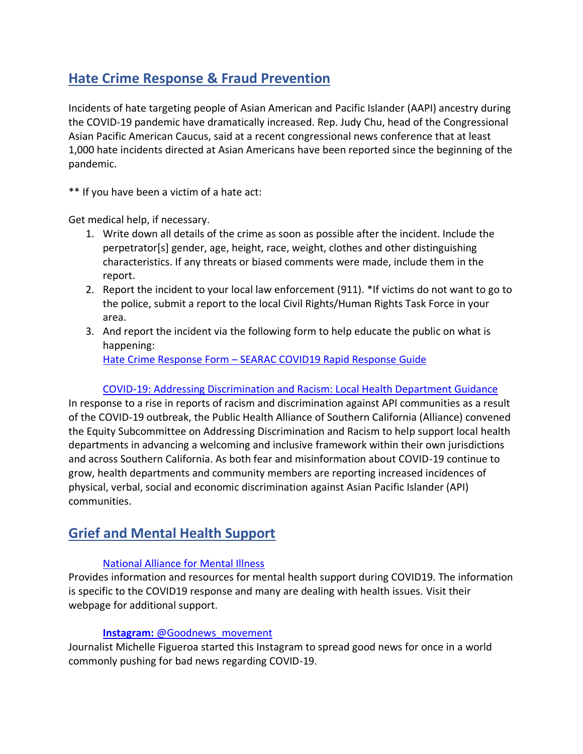# **Hate Crime Response & Fraud Prevention**

Incidents of hate targeting people of Asian American and Pacific Islander (AAPI) ancestry during the COVID-19 pandemic have dramatically increased. Rep. Judy Chu, head of the Congressional Asian Pacific American Caucus, said at a recent congressional news conference that at least 1,000 hate incidents directed at Asian Americans have been reported since the beginning of the pandemic.

\*\* If you have been a victim of a hate act:

Get medical help, if necessary.

- 1. Write down all details of the crime as soon as possible after the incident. Include the perpetrator[s] gender, age, height, race, weight, clothes and other distinguishing characteristics. If any threats or biased comments were made, include them in the report.
- 2. Report the incident to your local law enforcement (911). \*If victims do not want to go to the police, submit a report to the local Civil Rights/Human Rights Task Force in your area.
- 3. And report the incident via the following form to help educate the public on what is happening:

Hate Crime Response Form – [SEARAC COVID19 Rapid Response Guide](https://www.searac.org/covid-19-resources/#grief)

#### [COVID-19: Addressing Discrimination and Racism: Local Health Department Guidance](https://www.phi.org/uploads/files/COVID-19%20Addressing%20Racism%20%20Discrimination_Department%20Support%20Guidance_PHI%20FINAL.pdf)

In response to a rise in reports of racism and discrimination against API communities as a result of the COVID-19 outbreak, the Public Health Alliance of Southern California (Alliance) convened the Equity Subcommittee on Addressing Discrimination and Racism to help support local health departments in advancing a welcoming and inclusive framework within their own jurisdictions and across Southern California. As both fear and misinformation about COVID-19 continue to grow, health departments and community members are reporting increased incidences of physical, verbal, social and economic discrimination against Asian Pacific Islander (API) communities.

# **Grief and Mental Health Support**

#### [National Alliance for Mental Illness](https://www.nami.org/covid-19-guide)

Provides information and resources for mental health support during COVID19. The information is specific to the COVID19 response and many are dealing with health issues. Visit their webpage for additional support.

#### **Instagram:** [@Goodnews\\_movement](https://www.instagram.com/goodnews_movement/?hl=en)

Journalist Michelle Figueroa started this Instagram to spread good news for once in a world commonly pushing for bad news regarding COVID-19.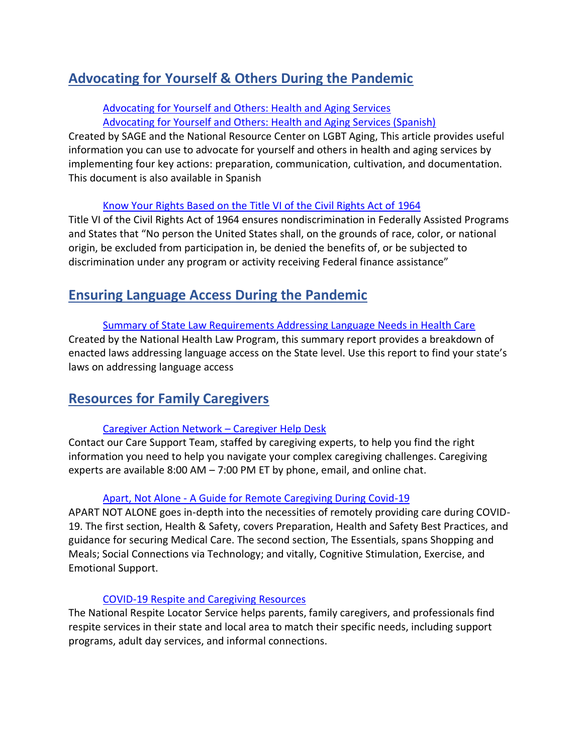# **Advocating for Yourself & Others During the Pandemic**

#### [Advocating for Yourself and Others: Health and Aging Services](https://www.lgbtagingcenter.org/resources/pdfs/How%20to%20Advocate%20for%20Yourself%20and%20Others%20in%20Healthcare%20Settings%20Final.docx.pdf) [Advocating for Yourself and Others: Health and Aging Services \(Spanish\)](https://www.lgbtagingcenter.org/resources/pdfs/How%20to%20Advocate%20for%20Yourself%20and%20Others%20in%20Healthcare%20Settings%20Final_SP_v1.docx.pdf)

Created by SAGE and the National Resource Center on LGBT Aging, This article provides useful information you can use to advocate for yourself and others in health and aging services by implementing four key actions: preparation, communication, cultivation, and documentation. This document is also available in Spanish

#### [Know Your Rights Based on the Title VI of the Civil Rights Act of 1964](https://www.hhs.gov/civil-rights/for-individuals/special-topics/limited-english-proficiency/guidance-federal-financial-assistance-recipients-title-vi/index.html)

Title VI of the Civil Rights Act of 1964 ensures nondiscrimination in Federally Assisted Programs and States that "No person the United States shall, on the grounds of race, color, or national origin, be excluded from participation in, be denied the benefits of, or be subjected to discrimination under any program or activity receiving Federal finance assistance"

## **Ensuring Language Access During the Pandemic**

#### [Summary of State Law Requirements Addressing Language Needs in Health Care](https://healthlaw.org/resource/summary-of-state-law-requirements-addressing-language-needs-in-health-care-2/)

Created by the National Health Law Program, this summary report provides a breakdown of enacted laws addressing language access on the State level. Use this report to find your state's laws on addressing language access

## **Resources for Family Caregivers**

## [Caregiver Action Network](https://www.caregiveraction.org/) – Caregiver Help Desk

Contact our Care Support Team, staffed by caregiving experts, to help you find the right information you need to help you navigate your complex caregiving challenges. Caregiving experts are available 8:00 AM – 7:00 PM ET by phone, email, and online chat.

#### Apart, Not Alone - [A Guide for Remote Caregiving During Covid-19](https://get.aloecare.com/covid-19/)

APART NOT ALONE goes in-depth into the necessities of remotely providing care during COVID-19. The first section, Health & Safety, covers Preparation, Health and Safety Best Practices, and guidance for securing Medical Care. The second section, The Essentials, spans Shopping and Meals; Social Connections via Technology; and vitally, Cognitive Stimulation, Exercise, and Emotional Support.

#### [COVID-19 Respite and Caregiving Resources](https://archrespite.org/Covid-19-Respite-Resources)

The National Respite Locator Service helps parents, family caregivers, and professionals find respite services in their state and local area to match their specific needs, including support programs, adult day services, and informal connections.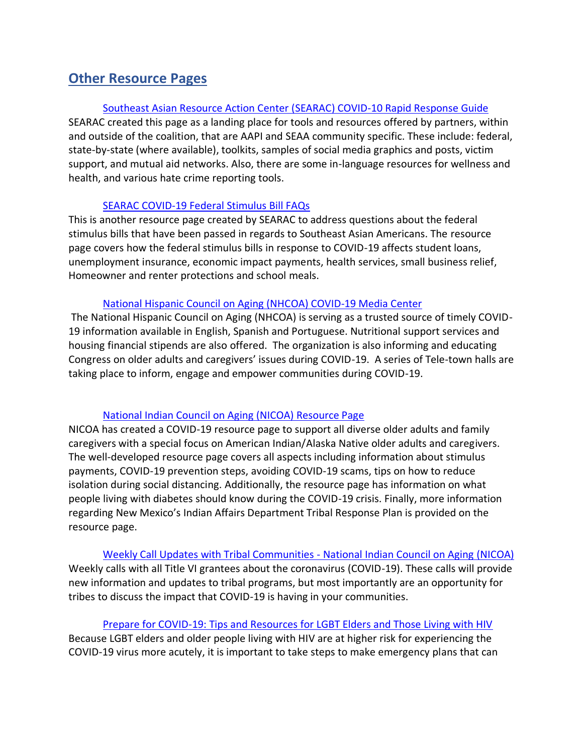# **Other Resource Pages**

#### [Southeast Asian Resource Action Center \(SEARAC\)](https://www.searac.org/covid-19-resources/) COVID-10 Rapid Response Guide

SEARAC created this page as a landing place for tools and resources offered by partners, within and outside of the coalition, that are AAPI and SEAA community specific. These include: federal, state-by-state (where available), toolkits, samples of social media graphics and posts, victim support, and mutual aid networks. Also, there are some in-language resources for wellness and health, and various hate crime reporting tools.

#### [SEARAC COVID-19 Federal Stimulus Bill FAQs](https://www.searac.org/covid-19-resources/covid-19-federal-stimulus-bill-faqs/)

This is another resource page created by SEARAC to address questions about the federal stimulus bills that have been passed in regards to Southeast Asian Americans. The resource page covers how the federal stimulus bills in response to COVID-19 affects student loans, unemployment insurance, economic impact payments, health services, small business relief, Homeowner and renter protections and school meals.

#### [National Hispanic Council on Aging \(NHCOA\) COVID-19 Media Center](http://www.nhcoa.org/media-center/nhcoa-blog/)

The National Hispanic Council on Aging (NHCOA) is serving as a trusted source of timely COVID-19 information available in English, Spanish and Portuguese. Nutritional support services and housing financial stipends are also offered. The organization is also informing and educating Congress on older adults and caregivers' issues during COVID-19. A series of Tele-town halls are taking place to inform, engage and empower communities during COVID-19.

#### [National Indian Council on Aging \(NICOA\) Resource Page](https://www.nicoa.org/covid-19/)

NICOA has created a COVID-19 resource page to support all diverse older adults and family caregivers with a special focus on American Indian/Alaska Native older adults and caregivers. The well-developed resource page covers all aspects including information about stimulus payments, COVID-19 prevention steps, avoiding COVID-19 scams, tips on how to reduce isolation during social distancing. Additionally, the resource page has information on what people living with diabetes should know during the COVID-19 crisis. Finally, more information regarding New Mexico's Indian Affairs Department Tribal Response Plan is provided on the resource page.

[Weekly Call Updates with Tribal Communities -](https://www.nicoa.org/weekly-call-will-update-tribal-programs/) National Indian Council on Aging (NICOA) Weekly calls with all Title VI grantees about the coronavirus (COVID-19). These calls will provide new information and updates to tribal programs, but most importantly are an opportunity for tribes to discuss the impact that COVID-19 is having in your communities.

[Prepare for COVID-19: Tips and Resources for LGBT Elders and Those Living with HIV](https://www.lgbtagingcenter.org/resources/resource.cfm?r=990) Because LGBT elders and older people living with HIV are at higher risk for experiencing the COVID-19 virus more acutely, it is important to take steps to make emergency plans that can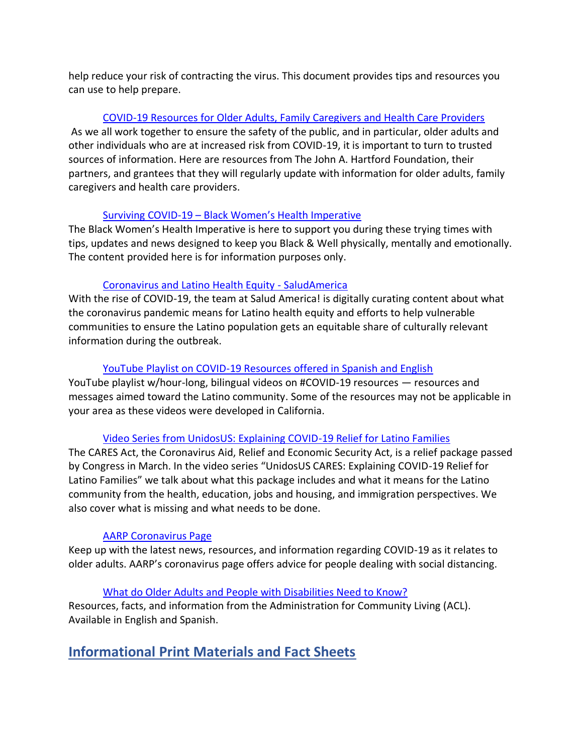help reduce your risk of contracting the virus. This document provides tips and resources you can use to help prepare.

### [COVID-19 Resources for Older Adults, Family Caregivers and Health Care Providers](https://www.johnahartford.org/dissemination-center/view/coronavirus-disease-covid-19-resources-for-older-adults-family-caregivers-and-health-care-providers)

As we all work together to ensure the safety of the public, and in particular, older adults and other individuals who are at increased risk from COVID-19, it is important to turn to trusted sources of information. Here are resources from The John A. Hartford Foundation, their partners, and grantees that they will regularly update with information for older adults, family caregivers and health care providers.

#### Surviving COVID-19 – [Black Women's Health Imperative](https://coronavirus.bwhi.org/)

The Black Women's Health Imperative is here to support you during these trying times with tips, updates and news designed to keep you Black & Well physically, mentally and emotionally. The content provided here is for information purposes only.

#### [Coronavirus and Latino Health Equity -](https://salud-america.org/coronavirus-latino-health-equity/) SaludAmerica

With the rise of COVID-19, the team at Salud America! is digitally curating content about what the coronavirus pandemic means for Latino health equity and efforts to help vulnerable communities to ensure the Latino population gets an equitable share of culturally relevant information during the outbreak.

### [YouTube Playlist on COVID-19 Resources offered in Spanish and English](https://www.youtube.com/playlist?list=PLEp77IAQ2_FJUneDmnI32ALrVxEVv4GBD)

YouTube playlist w/hour-long, bilingual videos on #COVID-19 resources — resources and messages aimed toward the Latino community. Some of the resources may not be applicable in your area as these videos were developed in California.

#### [Video Series from UnidosUS: Explaining COVID-19 Relief for Latino Families](https://www.unidosus.org/campaigns/coronavirus-covid-19/video/UNIDOS-US-CARES-Explaining-COVID-19-Relief-for-Latino-Families?utm_campaign=fyi_newsletter&utm_medium=email&utm_source=govdelivery)

The CARES Act, the Coronavirus Aid, Relief and Economic Security Act, is a relief package passed by Congress in March. In the video series "UnidosUS CARES: Explaining COVID-19 Relief for Latino Families" we talk about what this package includes and what it means for the Latino community from the health, education, jobs and housing, and immigration perspectives. We also cover what is missing and what needs to be done.

## [AARP Coronavirus Page](http://aarp.org/coronavirus)

Keep up with the latest news, resources, and information regarding COVID-19 as it relates to older adults. AARP's coronavirus page offers advice for people dealing with social distancing.

#### [What do Older Adults and People with Disabilities Need to Know?](https://acl.gov/COVID-19)

Resources, facts, and information from the Administration for Community Living (ACL). Available in English and Spanish.

# **Informational Print Materials and Fact Sheets**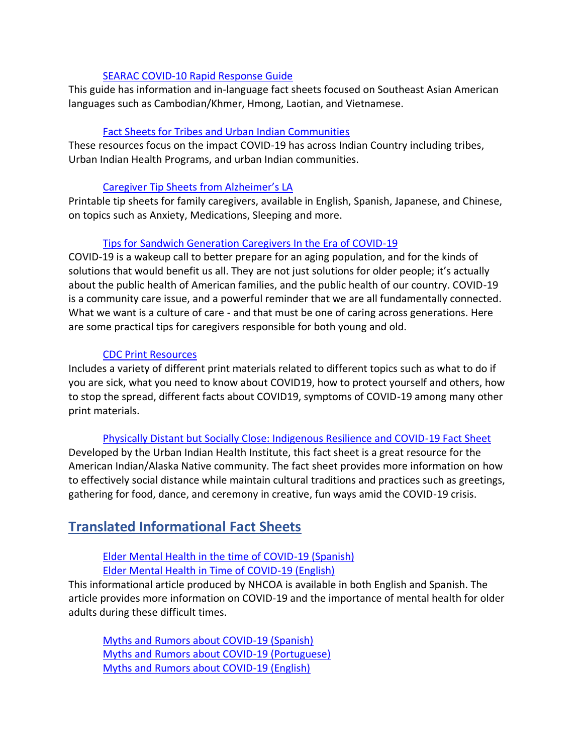#### [SEARAC COVID-10 Rapid Response Guide](https://www.searac.org/covid-19-resources/)

This guide has information and in-language fact sheets focused on Southeast Asian American languages such as Cambodian/Khmer, Hmong, Laotian, and Vietnamese.

#### [Fact Sheets for Tribes and Urban Indian Communities](https://www.uihi.org/projects/covid/?utm_campaign=fyi_newsletter&utm_medium=email&utm_source=govdelivery)

These resources focus on the impact COVID-19 has across Indian Country including tribes, Urban Indian Health Programs, and urban Indian communities.

#### [Caregiver Tip Sheets from Alzheimer's LA](https://www.alzheimersla.org/caregiver-tip-sheets/?utm_source=programs-services&utm_medium=email)

Printable tip sheets for family caregivers, available in English, Spanish, Japanese, and Chinese, on topics such as Anxiety, Medications, Sleeping and more.

#### [Tips for Sandwich Generation Caregivers In the Era of COVID-19](https://files.constantcontact.com/8b968750201/f3b38866-ec89-4c4c-84c2-f2624452efee.pdf)

COVID-19 is a wakeup call to better prepare for an aging population, and for the kinds of solutions that would benefit us all. They are not just solutions for older people; it's actually about the public health of American families, and the public health of our country. COVID-19 is a community care issue, and a powerful reminder that we are all fundamentally connected. What we want is a culture of care - and that must be one of caring across generations. Here are some practical tips for caregivers responsible for both young and old.

#### [CDC Print Resources](https://www.cdc.gov/coronavirus/2019-ncov/communication/factsheets.html)

Includes a variety of different print materials related to different topics such as what to do if you are sick, what you need to know about COVID19, how to protect yourself and others, how to stop the spread, different facts about COVID19, symptoms of COVID-19 among many other print materials.

#### [Physically Distant but Socially Close: Indigenous Resilience and COVID-19 Fact Sheet](https://www.uihi.org/resources/physically-distant-but-socially-close-indigenous-resilience-and-covid-19/)

Developed by the Urban Indian Health Institute, this fact sheet is a great resource for the American Indian/Alaska Native community. The fact sheet provides more information on how to effectively social distance while maintain cultural traditions and practices such as greetings, gathering for food, dance, and ceremony in creative, fun ways amid the COVID-19 crisis.

## **Translated Informational Fact Sheets**

#### [Elder Mental Health in the time of COVID-19 \(Spanish\)](http://www.nhcoa.org/como-cuidar-la-salud-mental-de-los-adultos-mayores-en-tiempos-de-covid-19/) [Elder Mental Health in Time of COVID-19 \(English\)](http://www.nhcoa.org/elder-mental-health-in-the-time-of-covid-19/)

This informational article produced by NHCOA is available in both English and Spanish. The article provides more information on COVID-19 and the importance of mental health for older adults during these difficult times.

[Myths and Rumors about COVID-19 \(Spanish\)](http://www.nhcoa.org/mitos-y-rumores-sobre-el-covid-19/) [Myths and Rumors about COVID-19 \(Portuguese\)](http://www.nhcoa.org/mitos-e-boatos-sobre-o-covid-19/) [Myths and Rumors about COVID-19 \(English\)](http://www.nhcoa.org/myths-and-rumors-about-covid-19/)